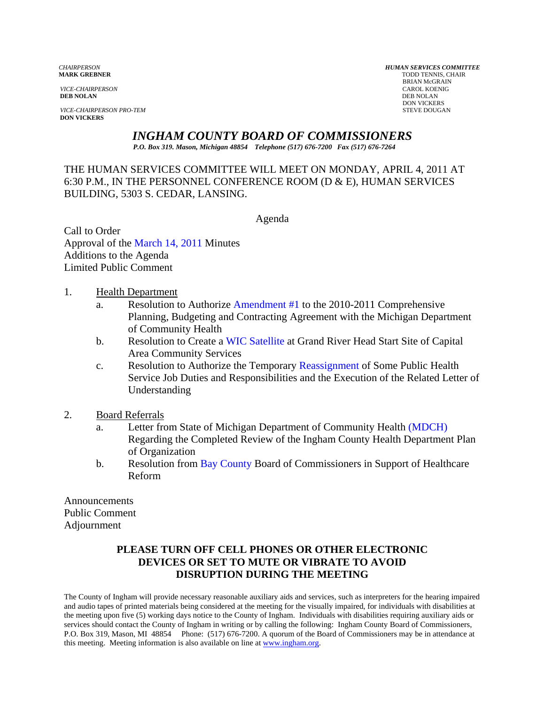*VICE-CHAIRPERSON* CAROL KOENIG CAROL KOENIG AND CAROL KOENIG CAROL KOENIG CAROL KOENIG CAROL KOENIG CAROL KOEN<br>**DEB NOLAN** DEB NOLAN **DEB NOLAN** DEB NOLAN

**VICE-CHAIRPERSON PRO-TEM** STEVE DOUGAN **DON VICKERS** 

*CHAIRPERSON HUMAN SERVICES COMMITTEE* **TODD TENNIS, CHAIR** BRIAN McGRAIN<br>CAROL KOENIG DON VICKERS

*INGHAM COUNTY BOARD OF COMMISSIONERS* 

*P.O. Box 319. Mason, Michigan 48854 Telephone (517) 676-7200 Fax (517) 676-7264*

THE HUMAN SERVICES COMMITTEE WILL MEET ON MONDAY, APRIL 4, 2011 AT 6:30 P.M., IN THE PERSONNEL CONFERENCE ROOM (D & E), HUMAN SERVICES BUILDING, 5303 S. CEDAR, LANSING.

Agenda

Call to Order Approval of [the March 14, 2011 Minutes](#page-1-0)  Additions to the Agenda Limited Public Comment

1. Health Department

- a. Resolution to Authori[ze Amendment #1 to the 2010-201](#page-6-0)1 Comprehensive Planning, Budgeting and Contracting Agreement with the Michigan Department of Community Health
- b. Resolution to Crea[te a WIC Satellite at Grand R](#page-10-0)iver Head Start Site of Capital Area Community Services
- c. Resolution to Authorize the Temporar[y Reassignment of Some Public H](#page-12-0)ealth Service Job Duties and Responsibilitie[s and the Execution of the R](#page-13-0)elated Letter of Understanding
- 2. Board Referrals
	- a. Letter from State of Michigan Department of Community Health (MDCH) Regarding the Completed Review of the Ingham County Heal[th Department Plan](#page-15-0)  of Organization
	- b. Resolution fr[om Bay County Board of Com](#page-16-0)missioners in Support of Healthcare Reform

**Announcements** Public Comment Adjournment

# **PLEASE TURN OFF CELL PHONES OR OTHER ELECTRONIC DEVICES OR SET TO MUTE OR VIBRATE TO AVOID DISRUPTION DURING THE MEETING**

The County of Ingham will provide necessary reasonable auxiliary aids and services, such as interpreters for the hearing impaired and audio tapes of printed materials being considered at the meeting for the visually impaired, for individuals with disabilities at the meeting upon five (5) working days notice to the County of Ingham. Individuals with disabilities requiring auxiliary aids or services should contact the County of Ingham in writing or by calling the following: Ingham County Board of Commissioners, P.O. Box 319, Mason, MI 48854 Phone: (517) 676-7200. A quorum of the Board of Commissioners may be in attendance at this meeting. Meeting information is also available on line at www.ingham.org.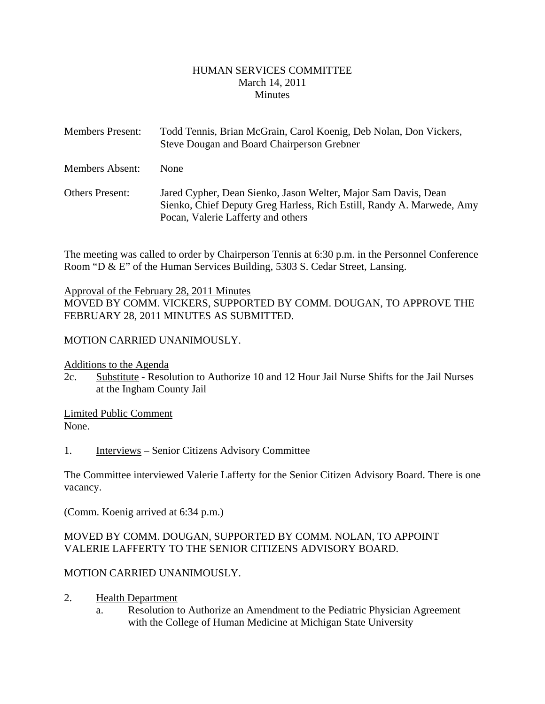### HUMAN SERVICES COMMITTEE March 14, 2011 **Minutes**

<span id="page-1-0"></span>

| <b>Members Present:</b> | Todd Tennis, Brian McGrain, Carol Koenig, Deb Nolan, Don Vickers,<br>Steve Dougan and Board Chairperson Grebner                                                               |
|-------------------------|-------------------------------------------------------------------------------------------------------------------------------------------------------------------------------|
| <b>Members Absent:</b>  | <b>None</b>                                                                                                                                                                   |
| <b>Others Present:</b>  | Jared Cypher, Dean Sienko, Jason Welter, Major Sam Davis, Dean<br>Sienko, Chief Deputy Greg Harless, Rich Estill, Randy A. Marwede, Amy<br>Pocan, Valerie Lafferty and others |

The meeting was called to order by Chairperson Tennis at 6:30 p.m. in the Personnel Conference Room "D & E" of the Human Services Building, 5303 S. Cedar Street, Lansing.

### Approval of the February 28, 2011 Minutes

MOVED BY COMM. VICKERS, SUPPORTED BY COMM. DOUGAN, TO APPROVE THE FEBRUARY 28, 2011 MINUTES AS SUBMITTED.

### MOTION CARRIED UNANIMOUSLY.

Additions to the Agenda

2c. Substitute - Resolution to Authorize 10 and 12 Hour Jail Nurse Shifts for the Jail Nurses at the Ingham County Jail

Limited Public Comment None.

1. Interviews – Senior Citizens Advisory Committee

The Committee interviewed Valerie Lafferty for the Senior Citizen Advisory Board. There is one vacancy.

(Comm. Koenig arrived at 6:34 p.m.)

### MOVED BY COMM. DOUGAN, SUPPORTED BY COMM. NOLAN, TO APPOINT VALERIE LAFFERTY TO THE SENIOR CITIZENS ADVISORY BOARD.

### MOTION CARRIED UNANIMOUSLY.

- 2. Health Department
	- a. Resolution to Authorize an Amendment to the Pediatric Physician Agreement with the College of Human Medicine at Michigan State University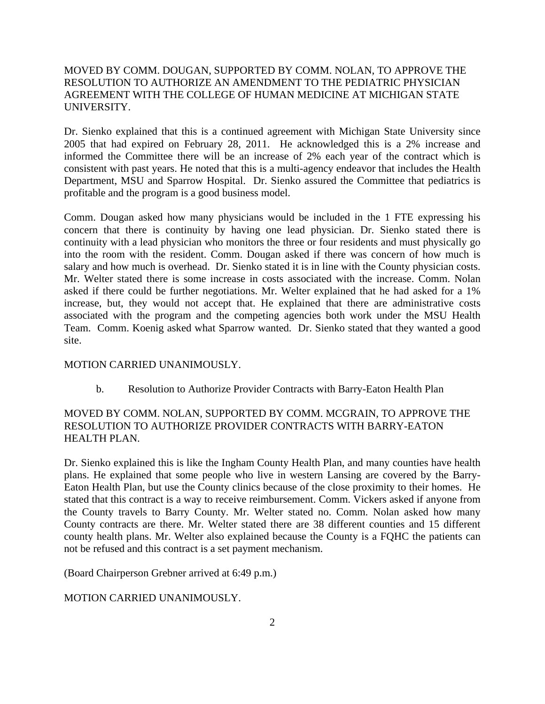### MOVED BY COMM. DOUGAN, SUPPORTED BY COMM. NOLAN, TO APPROVE THE RESOLUTION TO AUTHORIZE AN AMENDMENT TO THE PEDIATRIC PHYSICIAN AGREEMENT WITH THE COLLEGE OF HUMAN MEDICINE AT MICHIGAN STATE UNIVERSITY.

Dr. Sienko explained that this is a continued agreement with Michigan State University since 2005 that had expired on February 28, 2011. He acknowledged this is a 2% increase and informed the Committee there will be an increase of 2% each year of the contract which is consistent with past years. He noted that this is a multi-agency endeavor that includes the Health Department, MSU and Sparrow Hospital. Dr. Sienko assured the Committee that pediatrics is profitable and the program is a good business model.

Comm. Dougan asked how many physicians would be included in the 1 FTE expressing his concern that there is continuity by having one lead physician. Dr. Sienko stated there is continuity with a lead physician who monitors the three or four residents and must physically go into the room with the resident. Comm. Dougan asked if there was concern of how much is salary and how much is overhead. Dr. Sienko stated it is in line with the County physician costs. Mr. Welter stated there is some increase in costs associated with the increase. Comm. Nolan asked if there could be further negotiations. Mr. Welter explained that he had asked for a 1% increase, but, they would not accept that. He explained that there are administrative costs associated with the program and the competing agencies both work under the MSU Health Team. Comm. Koenig asked what Sparrow wanted. Dr. Sienko stated that they wanted a good site.

#### MOTION CARRIED UNANIMOUSLY.

b. Resolution to Authorize Provider Contracts with Barry-Eaton Health Plan

### MOVED BY COMM. NOLAN, SUPPORTED BY COMM. MCGRAIN, TO APPROVE THE RESOLUTION TO AUTHORIZE PROVIDER CONTRACTS WITH BARRY-EATON HEALTH PLAN.

Dr. Sienko explained this is like the Ingham County Health Plan, and many counties have health plans. He explained that some people who live in western Lansing are covered by the Barry-Eaton Health Plan, but use the County clinics because of the close proximity to their homes. He stated that this contract is a way to receive reimbursement. Comm. Vickers asked if anyone from the County travels to Barry County. Mr. Welter stated no. Comm. Nolan asked how many County contracts are there. Mr. Welter stated there are 38 different counties and 15 different county health plans. Mr. Welter also explained because the County is a FQHC the patients can not be refused and this contract is a set payment mechanism.

(Board Chairperson Grebner arrived at 6:49 p.m.)

### MOTION CARRIED UNANIMOUSLY.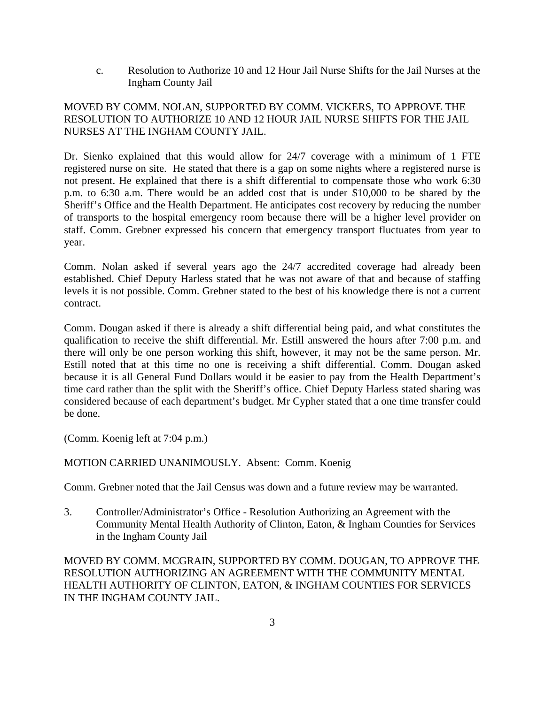c. Resolution to Authorize 10 and 12 Hour Jail Nurse Shifts for the Jail Nurses at the Ingham County Jail

## MOVED BY COMM. NOLAN, SUPPORTED BY COMM. VICKERS, TO APPROVE THE RESOLUTION TO AUTHORIZE 10 AND 12 HOUR JAIL NURSE SHIFTS FOR THE JAIL NURSES AT THE INGHAM COUNTY JAIL.

Dr. Sienko explained that this would allow for 24/7 coverage with a minimum of 1 FTE registered nurse on site. He stated that there is a gap on some nights where a registered nurse is not present. He explained that there is a shift differential to compensate those who work 6:30 p.m. to 6:30 a.m. There would be an added cost that is under \$10,000 to be shared by the Sheriff's Office and the Health Department. He anticipates cost recovery by reducing the number of transports to the hospital emergency room because there will be a higher level provider on staff. Comm. Grebner expressed his concern that emergency transport fluctuates from year to year.

Comm. Nolan asked if several years ago the 24/7 accredited coverage had already been established. Chief Deputy Harless stated that he was not aware of that and because of staffing levels it is not possible. Comm. Grebner stated to the best of his knowledge there is not a current contract.

Comm. Dougan asked if there is already a shift differential being paid, and what constitutes the qualification to receive the shift differential. Mr. Estill answered the hours after 7:00 p.m. and there will only be one person working this shift, however, it may not be the same person. Mr. Estill noted that at this time no one is receiving a shift differential. Comm. Dougan asked because it is all General Fund Dollars would it be easier to pay from the Health Department's time card rather than the split with the Sheriff's office. Chief Deputy Harless stated sharing was considered because of each department's budget. Mr Cypher stated that a one time transfer could be done.

(Comm. Koenig left at 7:04 p.m.)

MOTION CARRIED UNANIMOUSLY. Absent: Comm. Koenig

Comm. Grebner noted that the Jail Census was down and a future review may be warranted.

3. Controller/Administrator's Office - Resolution Authorizing an Agreement with the Community Mental Health Authority of Clinton, Eaton, & Ingham Counties for Services in the Ingham County Jail

MOVED BY COMM. MCGRAIN, SUPPORTED BY COMM. DOUGAN, TO APPROVE THE RESOLUTION AUTHORIZING AN AGREEMENT WITH THE COMMUNITY MENTAL HEALTH AUTHORITY OF CLINTON, EATON, & INGHAM COUNTIES FOR SERVICES IN THE INGHAM COUNTY JAIL.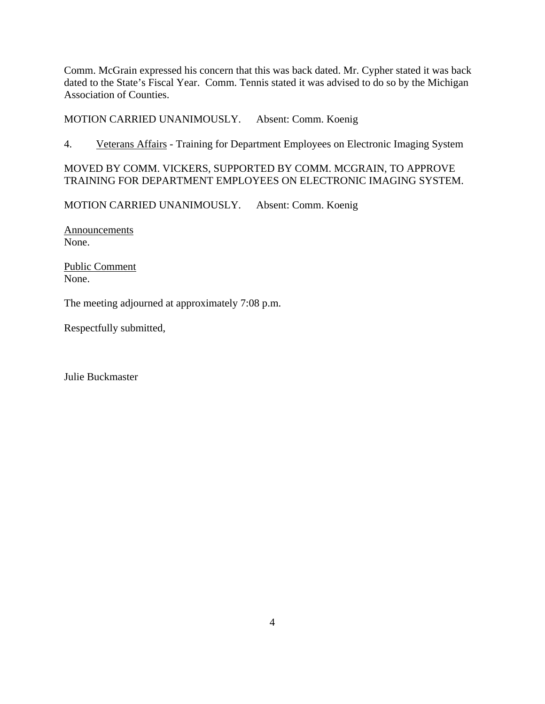Comm. McGrain expressed his concern that this was back dated. Mr. Cypher stated it was back dated to the State's Fiscal Year. Comm. Tennis stated it was advised to do so by the Michigan Association of Counties.

MOTION CARRIED UNANIMOUSLY. Absent: Comm. Koenig

4. Veterans Affairs - Training for Department Employees on Electronic Imaging System

# MOVED BY COMM. VICKERS, SUPPORTED BY COMM. MCGRAIN, TO APPROVE TRAINING FOR DEPARTMENT EMPLOYEES ON ELECTRONIC IMAGING SYSTEM.

MOTION CARRIED UNANIMOUSLY. Absent: Comm. Koenig

Announcements None.

Public Comment None.

The meeting adjourned at approximately 7:08 p.m.

Respectfully submitted,

Julie Buckmaster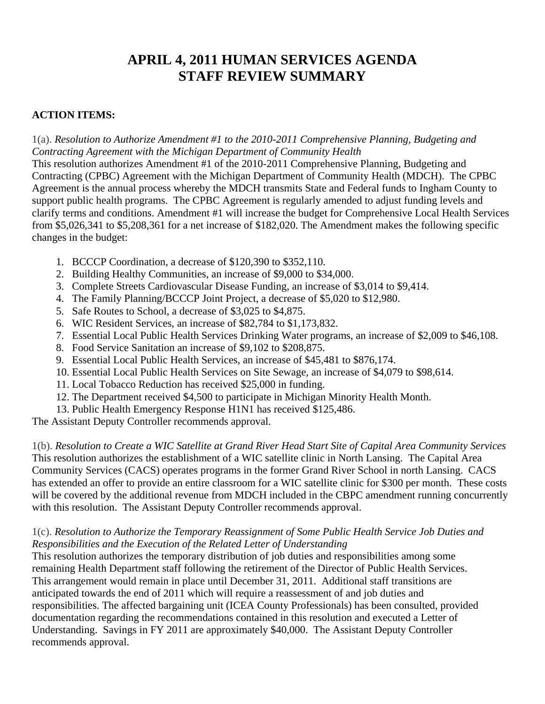# **APRIL 4, 2011 HUMAN SERVICES AGENDA STAFF REVIEW SUMMARY**

# **ACTION ITEMS:**

1(a). *Resolution to Authorize Amendment #1 to the 2010-2011 Comprehensive Planning, Budgeting and Contracting Agreement with the Michigan Department of Community Health* 

This resolution authorizes Amendment #1 of the 2010-2011 Comprehensive Planning, Budgeting and Contracting (CPBC) Agreement with the Michigan Department of Community Health (MDCH). The CPBC Agreement is the annual process whereby the MDCH transmits State and Federal funds to Ingham County to support public health programs. The CPBC Agreement is regularly amended to adjust funding levels and clarify terms and conditions. Amendment #1 will increase the budget for Comprehensive Local Health Services from \$5,026,341 to \$5,208,361 for a net increase of \$182,020. The Amendment makes the following specific changes in the budget:

- 1. BCCCP Coordination, a decrease of \$120,390 to \$352,110.
- 2. Building Healthy Communities, an increase of \$9,000 to \$34,000.
- 3. Complete Streets Cardiovascular Disease Funding, an increase of \$3,014 to \$9,414.
- 4. The Family Planning/BCCCP Joint Project, a decrease of \$5,020 to \$12,980.
- 5. Safe Routes to School, a decrease of \$3,025 to \$4,875.
- 6. WIC Resident Services, an increase of \$82,784 to \$1,173,832.
- 7. Essential Local Public Health Services Drinking Water programs, an increase of \$2,009 to \$46,108.
- 8. Food Service Sanitation an increase of \$9,102 to \$208,875.
- 9. Essential Local Public Health Services, an increase of \$45,481 to \$876,174.
- 10. Essential Local Public Health Services on Site Sewage, an increase of \$4,079 to \$98,614.
- 11. Local Tobacco Reduction has received \$25,000 in funding.
- 12. The Department received \$4,500 to participate in Michigan Minority Health Month.
- 13. Public Health Emergency Response H1N1 has received \$125,486.

The Assistant Deputy Controller recommends approval.

1(b). *Resolution to Create a WIC Satellite at Grand River Head Start Site of Capital Area Community Services* This resolution authorizes the establishment of a WIC satellite clinic in North Lansing. The Capital Area Community Services (CACS) operates programs in the former Grand River School in north Lansing. CACS has extended an offer to provide an entire classroom for a WIC satellite clinic for \$300 per month. These costs will be covered by the additional revenue from MDCH included in the CBPC amendment running concurrently with this resolution. The Assistant Deputy Controller recommends approval.

### 1(c). *Resolution to Authorize the Temporary Reassignment of Some Public Health Service Job Duties and Responsibilities and the Execution of the Related Letter of Understanding*

This resolution authorizes the temporary distribution of job duties and responsibilities among some remaining Health Department staff following the retirement of the Director of Public Health Services. This arrangement would remain in place until December 31, 2011. Additional staff transitions are anticipated towards the end of 2011 which will require a reassessment of and job duties and responsibilities. The affected bargaining unit (ICEA County Professionals) has been consulted, provided documentation regarding the recommendations contained in this resolution and executed a Letter of Understanding. Savings in FY 2011 are approximately \$40,000. The Assistant Deputy Controller recommends approval.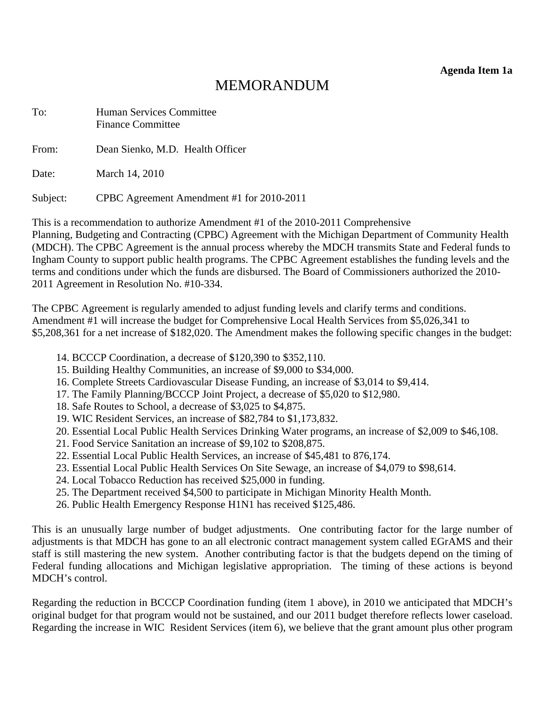**Agenda Item 1a** 

# MEMORANDUM

<span id="page-6-0"></span>

| To:      | <b>Human Services Committee</b><br><b>Finance Committee</b> |
|----------|-------------------------------------------------------------|
| From:    | Dean Sienko, M.D. Health Officer                            |
| Date:    | March 14, 2010                                              |
| Subject: | CPBC Agreement Amendment #1 for 2010-2011                   |

This is a recommendation to authorize Amendment #1 of the 2010-2011 Comprehensive Planning, Budgeting and Contracting (CPBC) Agreement with the Michigan Department of Community Health (MDCH). The CPBC Agreement is the annual process whereby the MDCH transmits State and Federal funds to Ingham County to support public health programs. The CPBC Agreement establishes the funding levels and the terms and conditions under which the funds are disbursed. The Board of Commissioners authorized the 2010- 2011 Agreement in Resolution No. #10-334.

The CPBC Agreement is regularly amended to adjust funding levels and clarify terms and conditions. Amendment #1 will increase the budget for Comprehensive Local Health Services from \$5,026,341 to \$5,208,361 for a net increase of \$182,020. The Amendment makes the following specific changes in the budget:

- 14. BCCCP Coordination, a decrease of \$120,390 to \$352,110.
- 15. Building Healthy Communities, an increase of \$9,000 to \$34,000.
- 16. Complete Streets Cardiovascular Disease Funding, an increase of \$3,014 to \$9,414.
- 17. The Family Planning/BCCCP Joint Project, a decrease of \$5,020 to \$12,980.
- 18. Safe Routes to School, a decrease of \$3,025 to \$4,875.
- 19. WIC Resident Services, an increase of \$82,784 to \$1,173,832.
- 20. Essential Local Public Health Services Drinking Water programs, an increase of \$2,009 to \$46,108.
- 21. Food Service Sanitation an increase of \$9,102 to \$208,875.
- 22. Essential Local Public Health Services, an increase of \$45,481 to 876,174.
- 23. Essential Local Public Health Services On Site Sewage, an increase of \$4,079 to \$98,614.
- 24. Local Tobacco Reduction has received \$25,000 in funding.
- 25. The Department received \$4,500 to participate in Michigan Minority Health Month.
- 26. Public Health Emergency Response H1N1 has received \$125,486.

This is an unusually large number of budget adjustments. One contributing factor for the large number of adjustments is that MDCH has gone to an all electronic contract management system called EGrAMS and their staff is still mastering the new system. Another contributing factor is that the budgets depend on the timing of Federal funding allocations and Michigan legislative appropriation. The timing of these actions is beyond MDCH's control.

Regarding the reduction in BCCCP Coordination funding (item 1 above), in 2010 we anticipated that MDCH's original budget for that program would not be sustained, and our 2011 budget therefore reflects lower caseload. Regarding the increase in WIC Resident Services (item 6), we believe that the grant amount plus other program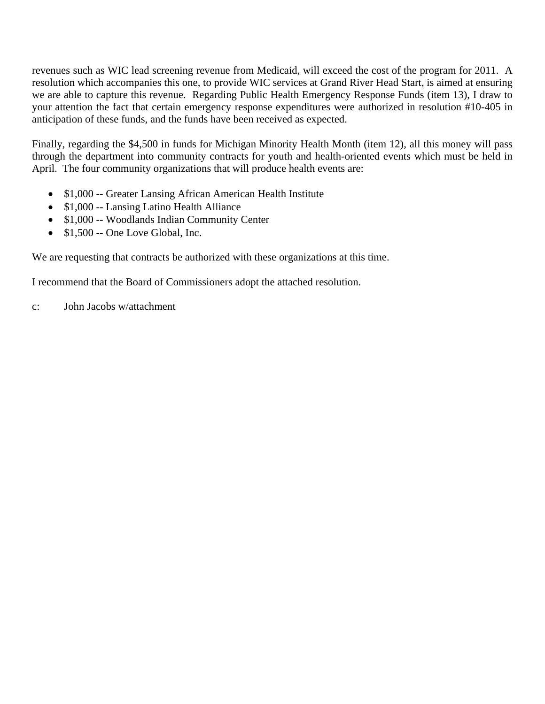revenues such as WIC lead screening revenue from Medicaid, will exceed the cost of the program for 2011. A resolution which accompanies this one, to provide WIC services at Grand River Head Start, is aimed at ensuring we are able to capture this revenue. Regarding Public Health Emergency Response Funds (item 13), I draw to your attention the fact that certain emergency response expenditures were authorized in resolution #10-405 in anticipation of these funds, and the funds have been received as expected.

Finally, regarding the \$4,500 in funds for Michigan Minority Health Month (item 12), all this money will pass through the department into community contracts for youth and health-oriented events which must be held in April. The four community organizations that will produce health events are:

- \$1,000 -- Greater Lansing African American Health Institute
- \$1,000 -- Lansing Latino Health Alliance
- \$1,000 -- Woodlands Indian Community Center
- \$1,500 -- One Love Global, Inc.

We are requesting that contracts be authorized with these organizations at this time.

I recommend that the Board of Commissioners adopt the attached resolution.

c: John Jacobs w/attachment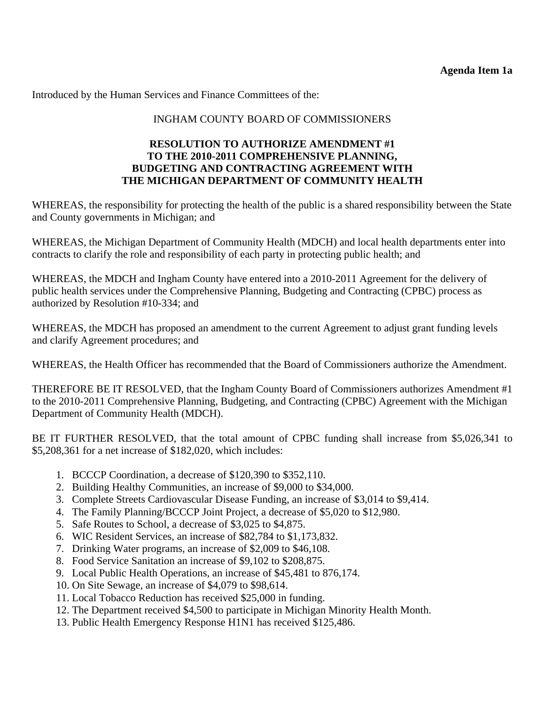Introduced by the Human Services and Finance Committees of the:

## INGHAM COUNTY BOARD OF COMMISSIONERS

### **RESOLUTION TO AUTHORIZE AMENDMENT #1 TO THE 2010-2011 COMPREHENSIVE PLANNING, BUDGETING AND CONTRACTING AGREEMENT WITH THE MICHIGAN DEPARTMENT OF COMMUNITY HEALTH**

WHEREAS, the responsibility for protecting the health of the public is a shared responsibility between the State and County governments in Michigan; and

WHEREAS, the Michigan Department of Community Health (MDCH) and local health departments enter into contracts to clarify the role and responsibility of each party in protecting public health; and

WHEREAS, the MDCH and Ingham County have entered into a 2010-2011 Agreement for the delivery of public health services under the Comprehensive Planning, Budgeting and Contracting (CPBC) process as authorized by Resolution #10-334; and

WHEREAS, the MDCH has proposed an amendment to the current Agreement to adjust grant funding levels and clarify Agreement procedures; and

WHEREAS, the Health Officer has recommended that the Board of Commissioners authorize the Amendment.

THEREFORE BE IT RESOLVED, that the Ingham County Board of Commissioners authorizes Amendment #1 to the 2010-2011 Comprehensive Planning, Budgeting, and Contracting (CPBC) Agreement with the Michigan Department of Community Health (MDCH).

BE IT FURTHER RESOLVED, that the total amount of CPBC funding shall increase from \$5,026,341 to \$5,208,361 for a net increase of \$182,020, which includes:

- 1. BCCCP Coordination, a decrease of \$120,390 to \$352,110.
- 2. Building Healthy Communities, an increase of \$9,000 to \$34,000.
- 3. Complete Streets Cardiovascular Disease Funding, an increase of \$3,014 to \$9,414.
- 4. The Family Planning/BCCCP Joint Project, a decrease of \$5,020 to \$12,980.
- 5. Safe Routes to School, a decrease of \$3,025 to \$4,875.
- 6. WIC Resident Services, an increase of \$82,784 to \$1,173,832.
- 7. Drinking Water programs, an increase of \$2,009 to \$46,108.
- 8. Food Service Sanitation an increase of \$9,102 to \$208,875.
- 9. Local Public Health Operations, an increase of \$45,481 to 876,174.
- 10. On Site Sewage, an increase of \$4,079 to \$98,614.
- 11. Local Tobacco Reduction has received \$25,000 in funding.
- 12. The Department received \$4,500 to participate in Michigan Minority Health Month.
- 13. Public Health Emergency Response H1N1 has received \$125,486.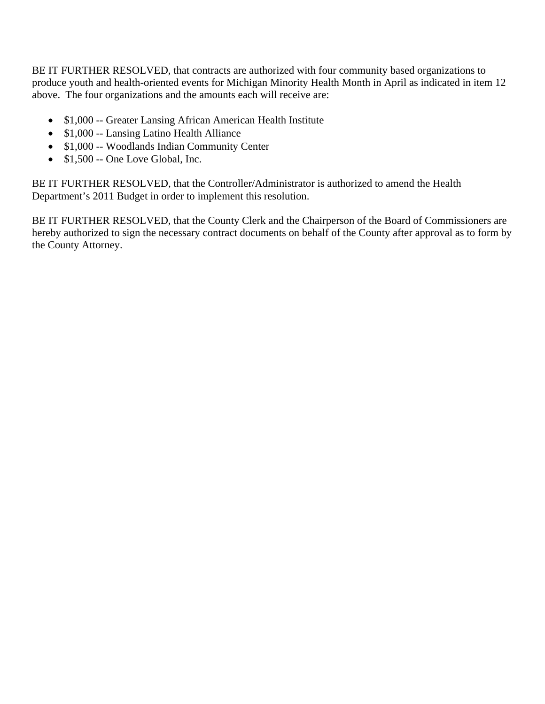BE IT FURTHER RESOLVED, that contracts are authorized with four community based organizations to produce youth and health-oriented events for Michigan Minority Health Month in April as indicated in item 12 above. The four organizations and the amounts each will receive are:

- \$1,000 -- Greater Lansing African American Health Institute
- \$1,000 -- Lansing Latino Health Alliance
- \$1,000 -- Woodlands Indian Community Center
- \$1,500 -- One Love Global, Inc.

BE IT FURTHER RESOLVED, that the Controller/Administrator is authorized to amend the Health Department's 2011 Budget in order to implement this resolution.

BE IT FURTHER RESOLVED, that the County Clerk and the Chairperson of the Board of Commissioners are hereby authorized to sign the necessary contract documents on behalf of the County after approval as to form by the County Attorney.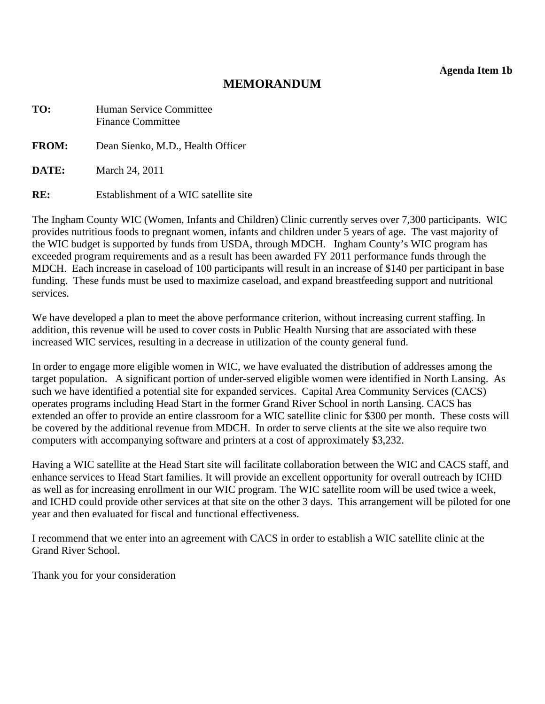**Agenda Item 1b** 

# **MEMORANDUM**

<span id="page-10-0"></span>

| TO:          | Human Service Committee<br><b>Finance Committee</b> |  |  |  |  |  |  |
|--------------|-----------------------------------------------------|--|--|--|--|--|--|
| <b>FROM:</b> | Dean Sienko, M.D., Health Officer                   |  |  |  |  |  |  |
| DATE:        | March 24, 2011                                      |  |  |  |  |  |  |
| RE:          | Establishment of a WIC satellite site               |  |  |  |  |  |  |

The Ingham County WIC (Women, Infants and Children) Clinic currently serves over 7,300 participants. WIC provides nutritious foods to pregnant women, infants and children under 5 years of age. The vast majority of the WIC budget is supported by funds from USDA, through MDCH. Ingham County's WIC program has exceeded program requirements and as a result has been awarded FY 2011 performance funds through the MDCH. Each increase in caseload of 100 participants will result in an increase of \$140 per participant in base funding. These funds must be used to maximize caseload, and expand breastfeeding support and nutritional services.

We have developed a plan to meet the above performance criterion, without increasing current staffing. In addition, this revenue will be used to cover costs in Public Health Nursing that are associated with these increased WIC services, resulting in a decrease in utilization of the county general fund.

In order to engage more eligible women in WIC, we have evaluated the distribution of addresses among the target population. A significant portion of under-served eligible women were identified in North Lansing. As such we have identified a potential site for expanded services. Capital Area Community Services (CACS) operates programs including Head Start in the former Grand River School in north Lansing. CACS has extended an offer to provide an entire classroom for a WIC satellite clinic for \$300 per month. These costs will be covered by the additional revenue from MDCH. In order to serve clients at the site we also require two computers with accompanying software and printers at a cost of approximately \$3,232.

Having a WIC satellite at the Head Start site will facilitate collaboration between the WIC and CACS staff, and enhance services to Head Start families. It will provide an excellent opportunity for overall outreach by ICHD as well as for increasing enrollment in our WIC program. The WIC satellite room will be used twice a week, and ICHD could provide other services at that site on the other 3 days. This arrangement will be piloted for one year and then evaluated for fiscal and functional effectiveness.

I recommend that we enter into an agreement with CACS in order to establish a WIC satellite clinic at the Grand River School.

Thank you for your consideration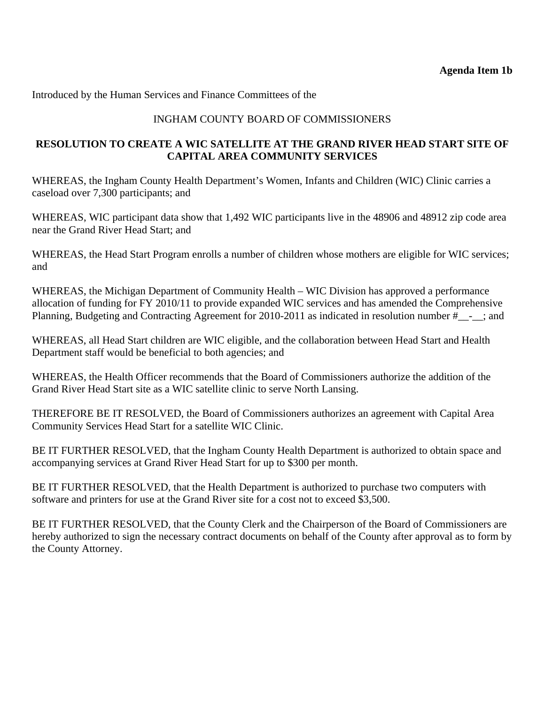Introduced by the Human Services and Finance Committees of the

# INGHAM COUNTY BOARD OF COMMISSIONERS

# **RESOLUTION TO CREATE A WIC SATELLITE AT THE GRAND RIVER HEAD START SITE OF CAPITAL AREA COMMUNITY SERVICES**

WHEREAS, the Ingham County Health Department's Women, Infants and Children (WIC) Clinic carries a caseload over 7,300 participants; and

WHEREAS, WIC participant data show that 1,492 WIC participants live in the 48906 and 48912 zip code area near the Grand River Head Start; and

WHEREAS, the Head Start Program enrolls a number of children whose mothers are eligible for WIC services; and

WHEREAS, the Michigan Department of Community Health – WIC Division has approved a performance allocation of funding for FY 2010/11 to provide expanded WIC services and has amended the Comprehensive Planning, Budgeting and Contracting Agreement for 2010-2011 as indicated in resolution number #\_\_-\_\_; and

WHEREAS, all Head Start children are WIC eligible, and the collaboration between Head Start and Health Department staff would be beneficial to both agencies; and

WHEREAS, the Health Officer recommends that the Board of Commissioners authorize the addition of the Grand River Head Start site as a WIC satellite clinic to serve North Lansing.

THEREFORE BE IT RESOLVED, the Board of Commissioners authorizes an agreement with Capital Area Community Services Head Start for a satellite WIC Clinic.

BE IT FURTHER RESOLVED, that the Ingham County Health Department is authorized to obtain space and accompanying services at Grand River Head Start for up to \$300 per month.

BE IT FURTHER RESOLVED, that the Health Department is authorized to purchase two computers with software and printers for use at the Grand River site for a cost not to exceed \$3,500.

BE IT FURTHER RESOLVED, that the County Clerk and the Chairperson of the Board of Commissioners are hereby authorized to sign the necessary contract documents on behalf of the County after approval as to form by the County Attorney.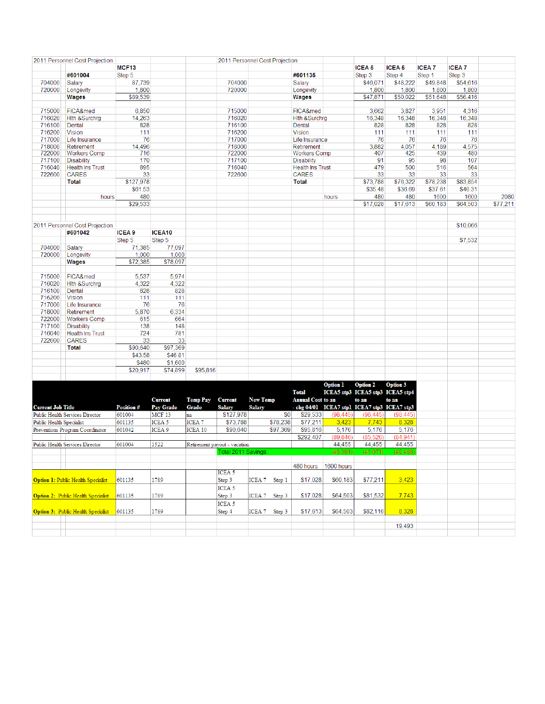<span id="page-12-0"></span>

|                                 | 2011 Personnel Cost Projection            |                   |                   |                   | 2011 Personnel Cost Projection |                 |          |                          |                 |                                              |                 |              |              |          |
|---------------------------------|-------------------------------------------|-------------------|-------------------|-------------------|--------------------------------|-----------------|----------|--------------------------|-----------------|----------------------------------------------|-----------------|--------------|--------------|----------|
|                                 |                                           | MCF <sub>13</sub> |                   |                   |                                |                 |          |                          |                 | <b>ICEA 5</b>                                | <b>ICEA 5</b>   | <b>ICEA7</b> | <b>ICEA7</b> |          |
|                                 | #601004                                   | Step 5            |                   |                   |                                |                 |          | #601135                  |                 | Step 3                                       | Step 4          | Step 1       | Step 3       |          |
| 704000                          | Salary                                    | 87,739            |                   |                   | 704000                         |                 |          | Salary                   |                 | \$46,071                                     | \$48,222        | \$49,848     | \$54,616     |          |
| 720000                          | Longevity                                 | 1,800             |                   |                   | 720000                         |                 |          | Longevity                |                 | 1,800                                        | 1,800           | 1,800        | 1,800        |          |
|                                 | <b>Wages</b>                              | \$89,539          |                   |                   |                                |                 |          | Wages                    |                 | \$47,871                                     | \$50,022        | \$51,648     | \$56,416     |          |
|                                 |                                           |                   |                   |                   |                                |                 |          |                          |                 |                                              |                 |              |              |          |
| 715000                          | FICA&med                                  | 6.850             |                   |                   | 715000                         |                 |          | FICA&med                 |                 | 3.662                                        | 3,827           | 3.951        | 4.316        |          |
| 716020                          | <b>Hith &amp;Surchrg</b>                  | 14,263            |                   |                   | 716020                         |                 |          | <b>Hith &amp;Surchrg</b> |                 | 16,348                                       | 16,348          | 16,348       | 16,348       |          |
| 716100                          | Dental                                    | 828               |                   |                   | 716100                         |                 |          | Dental                   |                 | 828                                          | 828             | 828          | 828          |          |
| 716200                          | <b>Vision</b>                             | 111               |                   |                   | 716200                         |                 |          | <b>Vision</b>            |                 | 111                                          | 111             | 111          | 111          |          |
| 717000                          | Life Insurance                            | 76                |                   |                   | 717000                         |                 |          | Life Insurance           |                 | 76                                           | 76              | 76           | 76           |          |
| 718000                          | Retirement                                | 14,496            |                   |                   | 718000                         |                 |          | Retirement               |                 | 3,882                                        | 4,057           | 4,189        | 4,575        |          |
| 722000                          | <b>Workers Comp</b>                       | 716               |                   |                   | 722000                         |                 |          | <b>Workers Comp</b>      |                 | 407                                          | 425             | 439          | 480          |          |
| 717100                          | <b>Disability</b>                         | 170               |                   |                   | 717100                         |                 |          | <b>Disability</b>        |                 | 91                                           | 95              | 98           | 107          |          |
| 716040                          | <b>Health Ins Trust</b>                   | 895               |                   |                   | 716040                         |                 |          | <b>Health Ins Trust</b>  |                 | 479                                          | 500             | 516          | 564          |          |
| 722600                          | <b>CARES</b>                              | 33                |                   |                   | 722600                         |                 |          | <b>CARES</b>             |                 | 33                                           | 33              | 33           | 33           |          |
|                                 |                                           |                   |                   |                   |                                |                 |          |                          |                 | \$73.788                                     |                 |              |              |          |
|                                 | <b>Total</b>                              | \$127,978         |                   |                   |                                |                 |          | <b>Total</b>             |                 |                                              | \$76,322        | \$78,238     | \$83,854     |          |
|                                 |                                           | \$61.53           |                   |                   |                                |                 |          |                          |                 | \$35.48                                      | \$36.69         | \$37.61      | \$40.31      |          |
|                                 | hours                                     | 480               |                   |                   |                                |                 |          |                          | hours           | 480                                          | 480             | 1600         | 1600         | 2080     |
|                                 |                                           | \$29,533          |                   |                   |                                |                 |          |                          |                 | \$17,028                                     | \$17,613        | \$60,183     | \$64,503     | \$77,211 |
|                                 |                                           |                   |                   |                   |                                |                 |          |                          |                 |                                              |                 |              |              |          |
|                                 |                                           |                   |                   |                   |                                |                 |          |                          |                 |                                              |                 |              |              |          |
|                                 | 2011 Personnel Cost Projection            |                   |                   |                   |                                |                 |          |                          |                 |                                              |                 |              | \$10,066     |          |
|                                 | #601042                                   | ICEA <sub>9</sub> | ICEA10            |                   |                                |                 |          |                          |                 |                                              |                 |              |              |          |
|                                 |                                           | Step 5            | Step 5            |                   |                                |                 |          |                          |                 |                                              |                 |              | \$7,532      |          |
| 704000                          | Salary                                    | 71,385            | 77,097            |                   |                                |                 |          |                          |                 |                                              |                 |              |              |          |
| 720000                          | Longevity                                 | 1,000             | 1,000             |                   |                                |                 |          |                          |                 |                                              |                 |              |              |          |
|                                 | Wages                                     | \$72,385          | \$78,097          |                   |                                |                 |          |                          |                 |                                              |                 |              |              |          |
|                                 |                                           |                   |                   |                   |                                |                 |          |                          |                 |                                              |                 |              |              |          |
| 715000                          | FICA&med                                  | 5,537             | 5,974             |                   |                                |                 |          |                          |                 |                                              |                 |              |              |          |
| 716020                          | <b>Hith &amp;Surchrg</b>                  | 4,322             | 4,322             |                   |                                |                 |          |                          |                 |                                              |                 |              |              |          |
| 716100                          | Dental                                    | 828               | 828               |                   |                                |                 |          |                          |                 |                                              |                 |              |              |          |
| 716200                          | <b>Vision</b>                             | 111               | 111               |                   |                                |                 |          |                          |                 |                                              |                 |              |              |          |
| 717000                          | Life Insurance                            | 76                | 76                |                   |                                |                 |          |                          |                 |                                              |                 |              |              |          |
| 718000                          | Retirement                                | 5,870             | 6,334             |                   |                                |                 |          |                          |                 |                                              |                 |              |              |          |
| 722000                          | <b>Workers Comp</b>                       | 615               | 664               |                   |                                |                 |          |                          |                 |                                              |                 |              |              |          |
| 717100                          |                                           |                   | 148               |                   |                                |                 |          |                          |                 |                                              |                 |              |              |          |
|                                 | <b>Disability</b>                         | 138               |                   |                   |                                |                 |          |                          |                 |                                              |                 |              |              |          |
| 716040                          | <b>Health Ins Trust</b>                   | 724               | 781               |                   |                                |                 |          |                          |                 |                                              |                 |              |              |          |
| 722600                          | <b>CARES</b>                              | 33                | 33                |                   |                                |                 |          |                          |                 |                                              |                 |              |              |          |
|                                 | Total                                     | \$90,640          | \$97,369          |                   |                                |                 |          |                          |                 |                                              |                 |              |              |          |
|                                 |                                           | \$43.58           | \$46.81           |                   |                                |                 |          |                          |                 |                                              |                 |              |              |          |
|                                 |                                           | \$480             | \$1,600           |                   |                                |                 |          |                          |                 |                                              |                 |              |              |          |
|                                 |                                           | \$20,917          | \$74,899          | \$95,816          |                                |                 |          |                          |                 |                                              |                 |              |              |          |
|                                 |                                           |                   |                   |                   |                                |                 |          |                          |                 |                                              |                 |              |              |          |
|                                 |                                           |                   |                   |                   |                                |                 |          |                          | <b>Option 1</b> | <b>Option 2</b>                              | <b>Option 3</b> |              |              |          |
|                                 |                                           |                   |                   |                   |                                |                 |          | <b>Total</b>             |                 | ICEA5 stp3 ICEA5 stp3 ICEA5 stp4             |                 |              |              |          |
|                                 |                                           |                   | <b>Current</b>    | <b>Temp Pay</b>   | <b>Current</b>                 | <b>New Temp</b> |          | <b>Annual Cost to an</b> |                 | to an                                        | to an           |              |              |          |
| <b>Current Job Title</b>        |                                           | <b>Position #</b> | Pay Grade         | <b>Grade</b>      | <b>Salary</b>                  | <b>Salary</b>   |          |                          |                 | - chg 04/01 ICEA7 stp1 ICEA7 stp3 ICEA7 stp3 |                 |              |              |          |
|                                 | Public Health Services Director           | 601004            | MCF 13            | na                | \$127,978                      |                 | \$0      | \$29,533                 | (98, 445)       | (98, 445)                                    | (98, 445)       |              |              |          |
| <b>Public Health Specialist</b> |                                           | 601135            | ICEA 5            | ICEA <sub>7</sub> | \$73.788                       |                 | \$78,238 | \$77,211                 | 3,423           | 7,743                                        | 8,328           |              |              |          |
|                                 | Preventions Program Coordinator           | 601042            | ICEA <sub>9</sub> | ICEA 10           | \$90,640                       |                 | \$97,369 | \$95,816                 | 5,176           | 5,176                                        | 5,176           |              |              |          |
|                                 |                                           |                   |                   |                   |                                |                 |          | \$292,407                | (89, 846)       | (85, 526)                                    | (84.941)        |              |              |          |
|                                 | Public Health Services Director           | 601004            | 1522              |                   | Retirement payout - vacation   |                 |          |                          | 44,455          | 44,455                                       | 44,455          |              |              |          |
|                                 |                                           |                   |                   |                   |                                |                 |          |                          |                 |                                              | (40.486)        |              |              |          |
|                                 |                                           |                   |                   |                   | Total 2011 Savings             |                 |          |                          | (45, 391)       | (41,071)                                     |                 |              |              |          |
|                                 |                                           |                   |                   |                   |                                |                 |          |                          |                 |                                              |                 |              |              |          |
|                                 |                                           |                   |                   |                   | ICEA <sub>5</sub>              |                 |          | 480 hours                | 1600 hours      |                                              |                 |              |              |          |
|                                 |                                           |                   |                   |                   |                                |                 |          |                          |                 |                                              |                 |              |              |          |
|                                 | <b>Option 1: Public Health Specialist</b> | 601135            | 1789              |                   | Step 3                         | ICEA 7          | Step 1   | \$17,028                 | \$60,183        | \$77,211                                     | 3,423           |              |              |          |
|                                 |                                           |                   |                   |                   | ICEA <sub>5</sub>              |                 |          |                          |                 |                                              |                 |              |              |          |
|                                 | <b>Option 2: Public Health Specialist</b> | 601135            | 1789              |                   | Step 3                         | ICEA 7 Step 3   |          | \$17,028                 | \$64,503        | \$81,532                                     | 7,743           |              |              |          |
|                                 |                                           |                   |                   |                   | ICEA <sub>5</sub>              |                 |          |                          |                 |                                              |                 |              |              |          |
|                                 | <b>Option 3: Public Health Specialist</b> | 601135            | 1789              |                   | Step 4                         | ICEA 7          | Step 3   | \$17,613                 | \$64,503        | \$82,116                                     | 8,328           |              |              |          |
|                                 |                                           |                   |                   |                   |                                |                 |          |                          |                 |                                              |                 |              |              |          |
|                                 |                                           |                   |                   |                   |                                |                 |          |                          |                 |                                              | 19,493          |              |              |          |
|                                 |                                           |                   |                   |                   |                                |                 |          |                          |                 |                                              |                 |              |              |          |
|                                 |                                           |                   |                   |                   |                                |                 |          |                          |                 |                                              |                 |              |              |          |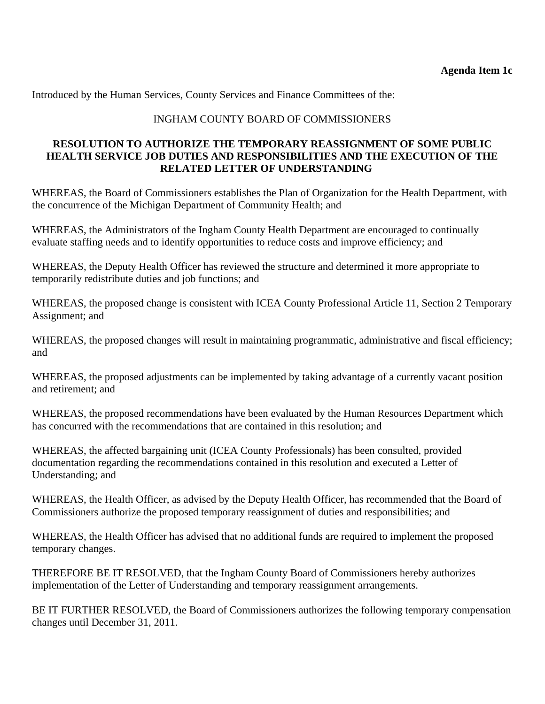<span id="page-13-0"></span>Introduced by the Human Services, County Services and Finance Committees of the:

# INGHAM COUNTY BOARD OF COMMISSIONERS

### **RESOLUTION TO AUTHORIZE THE TEMPORARY REASSIGNMENT OF SOME PUBLIC HEALTH SERVICE JOB DUTIES AND RESPONSIBILITIES AND THE EXECUTION OF THE RELATED LETTER OF UNDERSTANDING**

WHEREAS, the Board of Commissioners establishes the Plan of Organization for the Health Department, with the concurrence of the Michigan Department of Community Health; and

WHEREAS, the Administrators of the Ingham County Health Department are encouraged to continually evaluate staffing needs and to identify opportunities to reduce costs and improve efficiency; and

WHEREAS, the Deputy Health Officer has reviewed the structure and determined it more appropriate to temporarily redistribute duties and job functions; and

WHEREAS, the proposed change is consistent with ICEA County Professional Article 11, Section 2 Temporary Assignment; and

WHEREAS, the proposed changes will result in maintaining programmatic, administrative and fiscal efficiency; and

WHEREAS, the proposed adjustments can be implemented by taking advantage of a currently vacant position and retirement; and

WHEREAS, the proposed recommendations have been evaluated by the Human Resources Department which has concurred with the recommendations that are contained in this resolution; and

WHEREAS, the affected bargaining unit (ICEA County Professionals) has been consulted, provided documentation regarding the recommendations contained in this resolution and executed a Letter of Understanding; and

WHEREAS, the Health Officer, as advised by the Deputy Health Officer, has recommended that the Board of Commissioners authorize the proposed temporary reassignment of duties and responsibilities; and

WHEREAS, the Health Officer has advised that no additional funds are required to implement the proposed temporary changes.

THEREFORE BE IT RESOLVED, that the Ingham County Board of Commissioners hereby authorizes implementation of the Letter of Understanding and temporary reassignment arrangements.

BE IT FURTHER RESOLVED, the Board of Commissioners authorizes the following temporary compensation changes until December 31, 2011.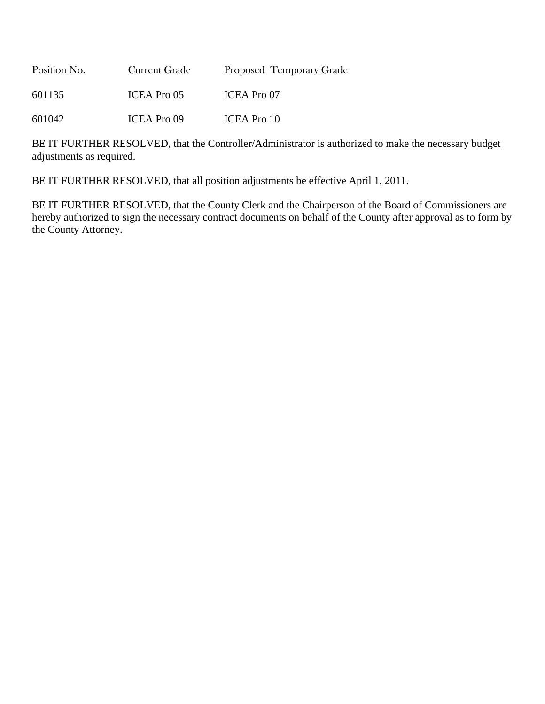| Position No. | <b>Current Grade</b> | Proposed Temporary Grade |
|--------------|----------------------|--------------------------|
| 601135       | ICEA Pro 05          | ICEA Pro 07              |
| 601042       | <b>ICEA Pro 09</b>   | ICEA Pro 10              |

BE IT FURTHER RESOLVED, that the Controller/Administrator is authorized to make the necessary budget adjustments as required.

BE IT FURTHER RESOLVED, that all position adjustments be effective April 1, 2011.

BE IT FURTHER RESOLVED, that the County Clerk and the Chairperson of the Board of Commissioners are hereby authorized to sign the necessary contract documents on behalf of the County after approval as to form by the County Attorney.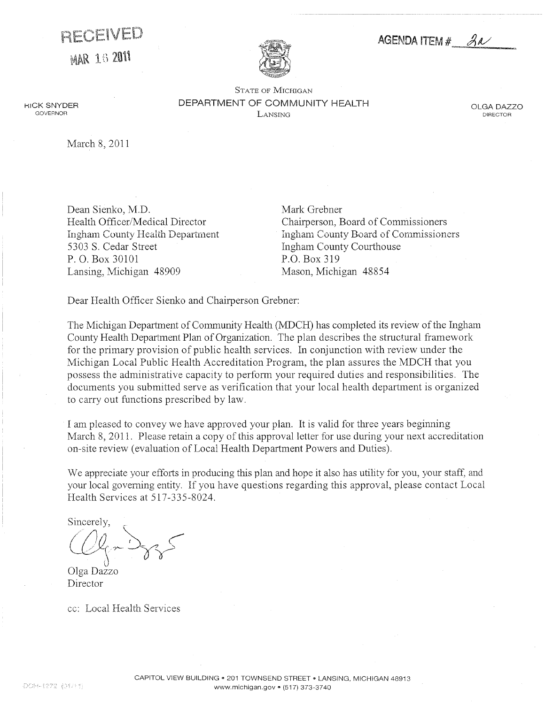<span id="page-15-0"></span>RECEIVED

MAR 16 2011



AGENDA ITEM  $#$   $\beta\alpha$ 

STATE OF MICHIGAN DEPARTMENT OF COMMUNITY HEALTH Lansing

OLGA DAZZO DIRECTOR

March 8, 2011

**HICK SNYDER** GOVERNOR

> Dean Sienko, M.D. Health Officer/Medical Director Ingham County Health Department 5303 S. Cedar Street P.O. Box 30101 Lansing, Michigan 48909

Mark Grebner Chairperson, Board of Commissioners Ingham County Board of Commissioners Ingham County Courthouse P.O. Box 319 Mason, Michigan 48854

Dear Health Officer Sienko and Chairperson Grebner:

The Michigan Department of Community Health (MDCH) has completed its review of the Ingham County Health Department Plan of Organization. The plan describes the structural framework for the primary provision of public health services. In conjunction with review under the Michigan Local Public Health Accreditation Program, the plan assures the MDCH that you possess the administrative capacity to perform your required duties and responsibilities. The documents you submitted serve as verification that your local health department is organized to carry out functions prescribed by law.

I am pleased to convey we have approved your plan. It is valid for three years beginning March 8, 2011. Please retain a copy of this approval letter for use during your next accreditation on-site review (evaluation of Local Health Department Powers and Duties).

We appreciate your efforts in producing this plan and hope it also has utility for you, your staff, and your local governing entity. If you have questions regarding this approval, please contact Local Health Services at 517-335-8024.

Sincerely.

Olga Dazzo Director

cc: Local Health Services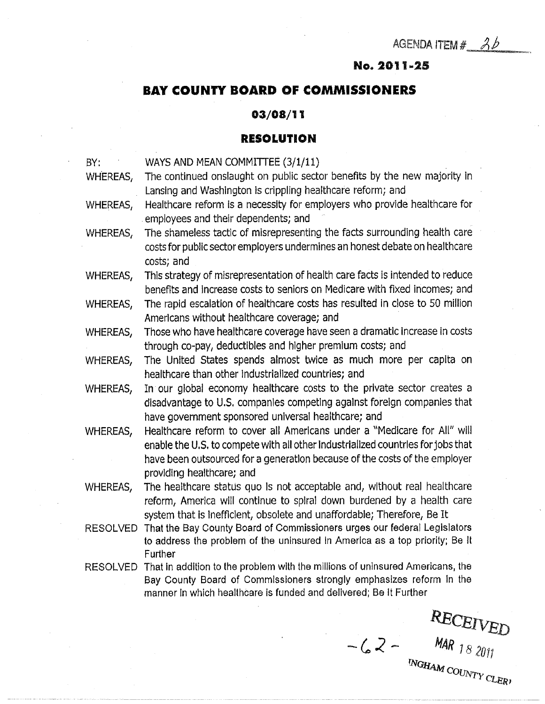# No.2011-25

# <span id="page-16-0"></span>BAY COUNTY BOARD OF COMMISSIONERS

### 03/08/11

### RESOLUTION

BY: WAYS AND MEAN COMMITTEE (3/1/11) WHEREAS, The continued onslaught on public sector benefits by the new majority in Lansing and Washington is crippling healthcare reform; and WHEREAS, Healthcare reform is a necessity for employers who provide healthcare for employees and their dependents; and WHEREAS, The shameless tactic of misrepresenting the facts surrounding health care costs for public sector employers undermines an honest debate on healthcare costs; and WHEREAS, This strategy of misrepresentation of health care facts is intended to reduce benefits and increase costs to seniors on Medicare with fixed incomes; and WHEREAS, The rapid escalation of healthcare costs has resulted in close to 50 million Americans without healthcare coverage; and WHEREAS, Those who have healthcare coverage have seen a dramatic increase in costs through co-pay, deductibles and higher premium costs; and WHEREAS, The United States spends almost twice as much more per capita on healthcare than other Industrialized countries; and WHEREAS, In our global economy healthcare costs to the private sector creates a disadvantage to U.S. companies competing against foreign companies that have government sponsored universal healthcare; and WHEREAS, Healthcare reform to cover all Americans under a "Medicare for All" will enable the U.S. to compete with all other Industrialized countries for jobs that have been outsourced for a generation because of the costs of the employer providing healthcare; and WHEREAS, The healthcare status quo Is not acceptable and, without real healthcare reform, America will continue to spiral down burdened by a health care system that is Inefficient, obsolete and unaffordable; Therefore, Be It RESOLVED That the Bay County Board of Commissioners urges our federal Legislators to address the problem of the uninsured in America as a top priority; Be It **Further** RESOLVED That in addition to the problem with the millions of uninsured Americans, the Bay County Board of Commissioners strongly emphasizes reform in the manner in which healthcare is funded and delivered; Be It Further

RECEIVED<br>-  $62 - \frac{NAR_{18}}{NGR_{20}}$ INGHAM COUNTY CLERI